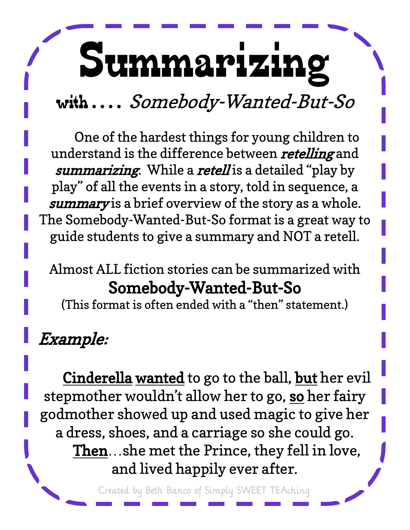# Summarizing

### with.... Somebody-Wanted-But-So

One of the hardest things for young children to understand is the difference between retelling and summarizing. While a retell is a detailed "play by play" of all the events in a story, told in sequence, a summary is a brief overview of the story as a whole. The Somebody-Wanted-But-So format is a great way to guide students to give a summary and NOT a retell.

#### Almost ALL fiction stories can be summarized with Somebody-Wanted-But-So

(This format is often ended with a "then" statement.)

### Example:

Cinderella wanted to go to the ball, but her evil stepmother wouldn't allow her to go, so her fairy godmother showed up and used magic to give her a dress, shoes, and a carriage so she could go. Then…she met the Prince, they fell in love, and lived happily ever after.

Created by Beth Banco of Simply SWEET TEAching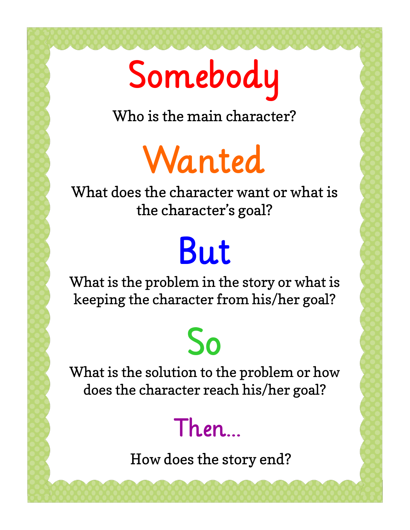# Somebody

Who is the main character?

Wanted

What does the character want or what is the character's goal?

# But

What is the problem in the story or what is keeping the character from his/her goal?

## So

What is the solution to the problem or how does the character reach his/her goal?

## Then…

How does the story end?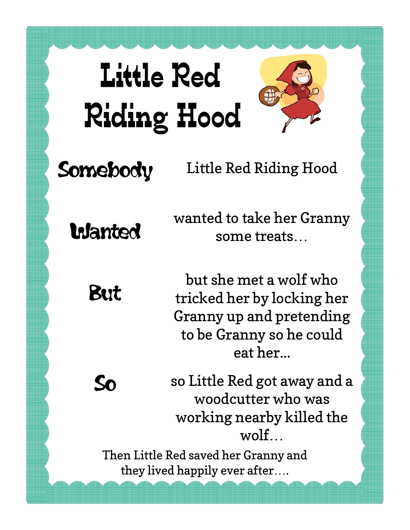



### Somebody

#### Little Red Riding Hood

**Wanted** 

wanted to take her Granny some treats…

But

**So** 

but she met a wolf who tricked her by locking her Granny up and pretending to be Granny so he could eat her...

so Little Red got away and a woodcutter who was working nearby killed the wolf…

Then Little Red saved her Granny and they lived happily ever after….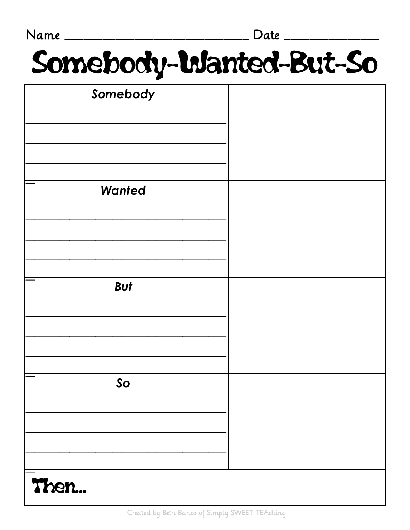| Name                   | Date ______ |
|------------------------|-------------|
| Somebody-Wanted-But-So |             |
| Somebody               |             |
| Wanted                 |             |
|                        |             |
| <b>But</b>             |             |
| So                     |             |
| Then                   |             |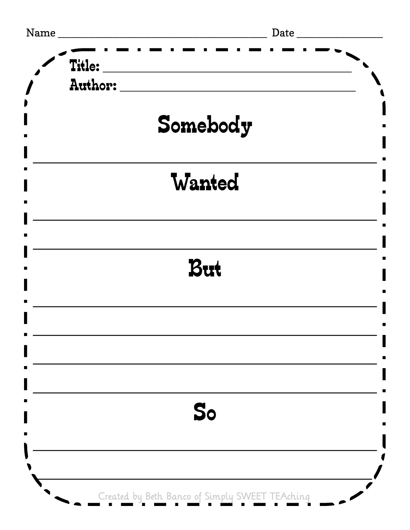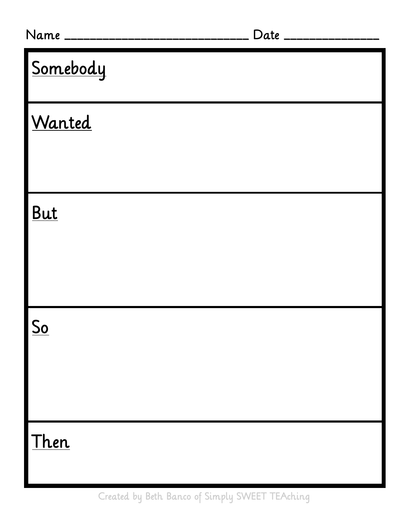| Name ____________________________ | Date ________________ |
|-----------------------------------|-----------------------|
| <u>Somebody</u>                   |                       |
| Wanted                            |                       |
|                                   |                       |
| <b>But</b>                        |                       |
|                                   |                       |
| $So$                              |                       |
|                                   |                       |
| Then                              |                       |

Created by Beth Banco of Simply SWEET TEAching